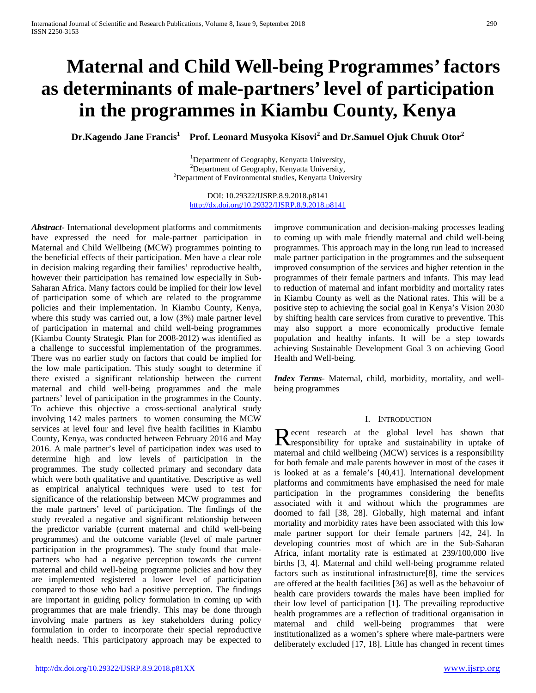# **Maternal and Child Well-being Programmes' factors as determinants of male-partners' level of participation in the programmes in Kiambu County, Kenya**

**Dr.Kagendo Jane Francis1 Prof. Leonard Musyoka Kisovi<sup>2</sup> and Dr.Samuel Ojuk Chuuk Otor<sup>2</sup>**

<sup>1</sup>Department of Geography, Kenyatta University,  $^{2}$ Department of Geography, Kenyatta University,  $2$ Department of Environmental studies, Kenyatta University

DOI: 10.29322/IJSRP.8.9.2018.p8141 <http://dx.doi.org/10.29322/IJSRP.8.9.2018.p8141>

*Abstract***-** International development platforms and commitments have expressed the need for male-partner participation in Maternal and Child Wellbeing (MCW) programmes pointing to the beneficial effects of their participation. Men have a clear role in decision making regarding their families' reproductive health, however their participation has remained low especially in Sub-Saharan Africa. Many factors could be implied for their low level of participation some of which are related to the programme policies and their implementation. In Kiambu County, Kenya, where this study was carried out, a low (3%) male partner level of participation in maternal and child well-being programmes (Kiambu County Strategic Plan for 2008-2012) was identified as a challenge to successful implementation of the programmes. There was no earlier study on factors that could be implied for the low male participation. This study sought to determine if there existed a significant relationship between the current maternal and child well-being programmes and the male partners' level of participation in the programmes in the County. To achieve this objective a cross-sectional analytical study involving 142 males partners to women consuming the MCW services at level four and level five health facilities in Kiambu County, Kenya, was conducted between February 2016 and May 2016. A male partner's level of participation index was used to determine high and low levels of participation in the programmes. The study collected primary and secondary data which were both qualitative and quantitative. Descriptive as well as empirical analytical techniques were used to test for significance of the relationship between MCW programmes and the male partners' level of participation. The findings of the study revealed a negative and significant relationship between the predictor variable (current maternal and child well-being programmes) and the outcome variable (level of male partner participation in the programmes). The study found that malepartners who had a negative perception towards the current maternal and child well-being programme policies and how they are implemented registered a lower level of participation compared to those who had a positive perception. The findings are important in guiding policy formulation in coming up with programmes that are male friendly. This may be done through involving male partners as key stakeholders during policy formulation in order to incorporate their special reproductive health needs. This participatory approach may be expected to

improve communication and decision-making processes leading to coming up with male friendly maternal and child well-being programmes. This approach may in the long run lead to increased male partner participation in the programmes and the subsequent improved consumption of the services and higher retention in the programmes of their female partners and infants. This may lead to reduction of maternal and infant morbidity and mortality rates in Kiambu County as well as the National rates. This will be a positive step to achieving the social goal in Kenya's Vision 2030 by shifting health care services from curative to preventive. This may also support a more economically productive female population and healthy infants. It will be a step towards achieving Sustainable Development Goal 3 on achieving Good Health and Well-being.

*Index Terms*- Maternal, child, morbidity, mortality, and wellbeing programmes

# I. INTRODUCTION

**D** ecent research at the global level has shown that Recent research at the global level has shown that<br>
responsibility for uptake and sustainability in uptake of maternal and child wellbeing (MCW) services is a responsibility for both female and male parents however in most of the cases it is looked at as a female's [40,41]. International development platforms and commitments have emphasised the need for male participation in the programmes considering the benefits associated with it and without which the programmes are doomed to fail [38, 28]. Globally, high maternal and infant mortality and morbidity rates have been associated with this low male partner support for their female partners [42, 24]. In developing countries most of which are in the Sub-Saharan Africa, infant mortality rate is estimated at 239/100,000 live births [3, 4]. Maternal and child well-being programme related factors such as institutional infrastructure[8], time the services are offered at the health facilities [36] as well as the behavoiur of health care providers towards the males have been implied for their low level of participation [1]. The prevailing reproductive health programmes are a reflection of traditional organisation in maternal and child well-being programmes that were institutionalized as a women's sphere where male-partners were deliberately excluded [17, 18]. Little has changed in recent times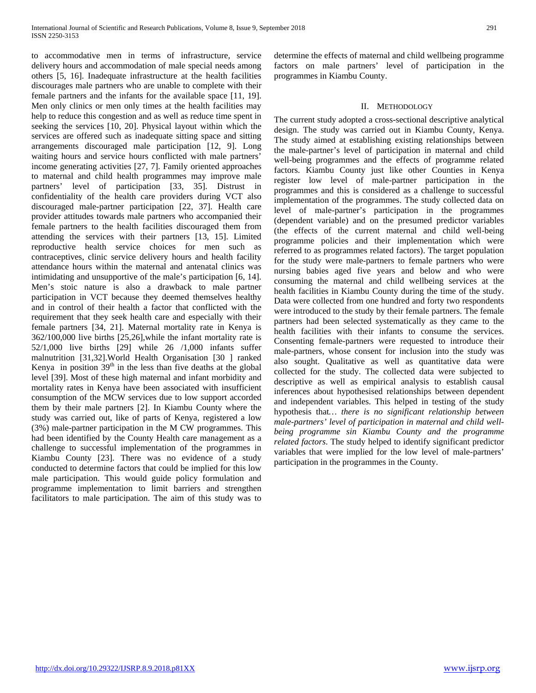to accommodative men in terms of infrastructure, service delivery hours and accommodation of male special needs among others [5, 16]. Inadequate infrastructure at the health facilities discourages male partners who are unable to complete with their female partners and the infants for the available space [11, 19]. Men only clinics or men only times at the health facilities may help to reduce this congestion and as well as reduce time spent in seeking the services [10, 20]. Physical layout within which the services are offered such as inadequate sitting space and sitting arrangements discouraged male participation [12, 9]. Long waiting hours and service hours conflicted with male partners' income generating activities [27, 7]. Family oriented approaches to maternal and child health programmes may improve male partners' level of participation [33, 35]. Distrust in confidentiality of the health care providers during VCT also discouraged male-partner participation [22, 37]. Health care provider attitudes towards male partners who accompanied their female partners to the health facilities discouraged them from attending the services with their partners [13, 15]. Limited reproductive health service choices for men such as contraceptives, clinic service delivery hours and health facility attendance hours within the maternal and antenatal clinics was intimidating and unsupportive of the male's participation [6, 14]. Men's stoic nature is also a drawback to male partner participation in VCT because they deemed themselves healthy and in control of their health a factor that conflicted with the requirement that they seek health care and especially with their female partners [34, 21]. Maternal mortality rate in Kenya is 362/100,000 live births [25,26],while the infant mortality rate is 52/1,000 live births [29] while 26 /1,000 infants suffer malnutrition [31,32].World Health Organisation [30 ] ranked Kenya in position  $39<sup>th</sup>$  in the less than five deaths at the global level [39]. Most of these high maternal and infant morbidity and mortality rates in Kenya have been associated with insufficient consumption of the MCW services due to low support accorded them by their male partners [2]. In Kiambu County where the study was carried out, like of parts of Kenya, registered a low (3%) male-partner participation in the M CW programmes. This had been identified by the County Health care management as a challenge to successful implementation of the programmes in Kiambu County [23]. There was no evidence of a study conducted to determine factors that could be implied for this low male participation. This would guide policy formulation and programme implementation to limit barriers and strengthen facilitators to male participation. The aim of this study was to

determine the effects of maternal and child wellbeing programme factors on male partners' level of participation in the programmes in Kiambu County.

## II. METHODOLOGY

The current study adopted a cross-sectional descriptive analytical design. The study was carried out in Kiambu County, Kenya. The study aimed at establishing existing relationships between the male-partner's level of participation in maternal and child well-being programmes and the effects of programme related factors. Kiambu County just like other Counties in Kenya register low level of male-partner participation in the programmes and this is considered as a challenge to successful implementation of the programmes. The study collected data on level of male-partner's participation in the programmes (dependent variable) and on the presumed predictor variables (the effects of the current maternal and child well-being programme policies and their implementation which were referred to as programmes related factors). The target population for the study were male-partners to female partners who were nursing babies aged five years and below and who were consuming the maternal and child wellbeing services at the health facilities in Kiambu County during the time of the study. Data were collected from one hundred and forty two respondents were introduced to the study by their female partners. The female partners had been selected systematically as they came to the health facilities with their infants to consume the services. Consenting female-partners were requested to introduce their male-partners, whose consent for inclusion into the study was also sought. Qualitative as well as quantitative data were collected for the study. The collected data were subjected to descriptive as well as empirical analysis to establish causal inferences about hypothesised relationships between dependent and independent variables. This helped in testing of the study hypothesis that*… there is no significant relationship between male-partners' level of participation in maternal and child wellbeing programme sin Kiambu County and the programme related factors*. The study helped to identify significant predictor variables that were implied for the low level of male-partners' participation in the programmes in the County.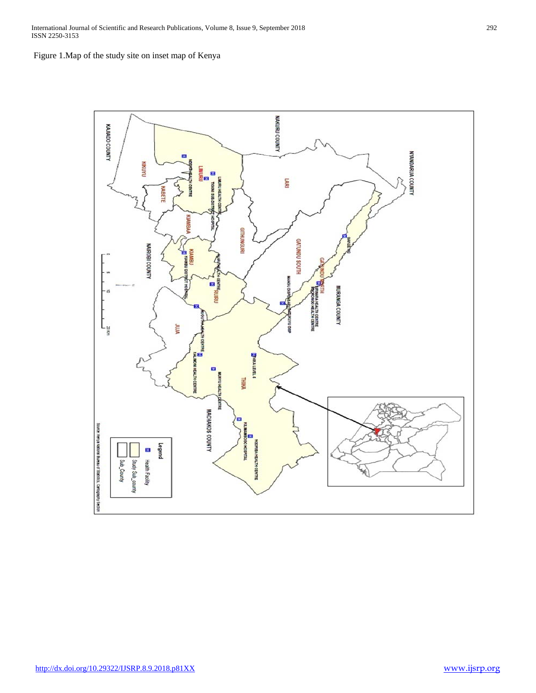International Journal of Scientific and Research Publications, Volume 8, Issue 9, September 2018 292 ISSN 2250-3153

Figure 1.Map of the study site on inset map of Kenya

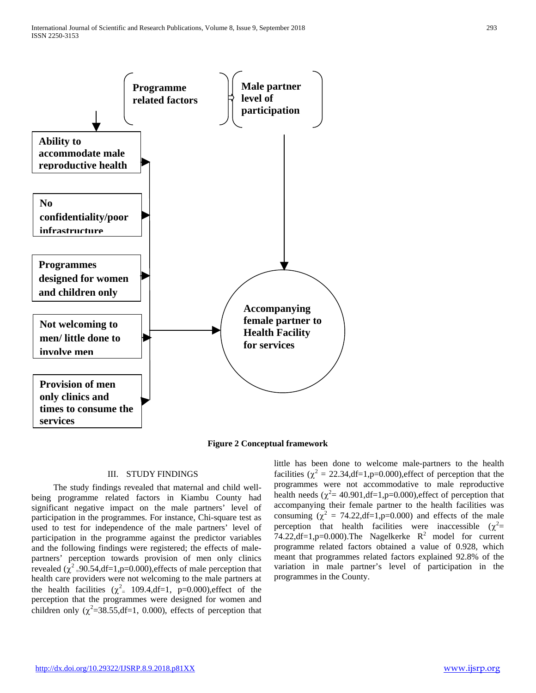



#### III. STUDY FINDINGS

 The study findings revealed that maternal and child wellbeing programme related factors in Kiambu County had significant negative impact on the male partners' level of participation in the programmes. For instance, Chi-square test as used to test for independence of the male partners' level of participation in the programme against the predictor variables and the following findings were registered; the effects of malepartners' perception towards provision of men only clinics revealed  $(\chi^2$  =90.54,df=1,p=0.000),effects of male perception that health care providers were not welcoming to the male partners at the health facilities  $(\chi^2 = 109.4, df=1, p=0.000)$ , effect of the perception that the programmes were designed for women and children only ( $\chi^2$ =38.55,df=1, 0.000), effects of perception that little has been done to welcome male-partners to the health facilities ( $\chi^2 = 22.34$ ,df=1,p=0.000),effect of perception that the programmes were not accommodative to male reproductive health needs ( $\chi^2$  = 40.901,df = 1,p=0.000),effect of perception that accompanying their female partner to the health facilities was consuming  $(\chi^2 = 74.22, df=1, p=0.000)$  and effects of the male perception that health facilities were inaccessible  $(\chi^2$ = 74.22,df=1,p=0.000).The Nagelkerke  $R^2$  model for current programme related factors obtained a value of 0.928, which meant that programmes related factors explained 92.8% of the variation in male partner's level of participation in the programmes in the County.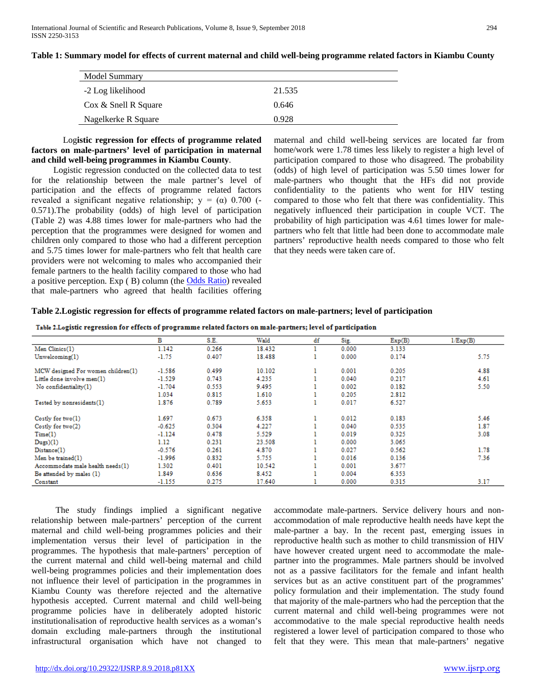#### **Table 1: Summary model for effects of current maternal and child well-being programme related factors in Kiambu County**

| Model Summary            |        |
|--------------------------|--------|
| -2 Log likelihood        | 21.535 |
| $\cos \&$ Snell R Square | 0.646  |
| Nagelkerke R Square      | 0.928  |

## Log**istic regression for effects of programme related factors on male-partners' level of participation in maternal and child well-being programmes in Kiambu County**.

 Logistic regression conducted on the collected data to test for the relationship between the male partner's level of participation and the effects of programme related factors revealed a significant negative relationship;  $y = (\alpha)$  0.700 (-0.571).The probability (odds) of high level of participation (Table 2) was 4.88 times lower for male-partners who had the perception that the programmes were designed for women and children only compared to those who had a different perception and 5.75 times lower for male-partners who felt that health care providers were not welcoming to males who accompanied their female partners to the health facility compared to those who had a positive perception. Exp ( B) column (the [Odds Ratio\)](http://www.restore.ac.uk/srme/www/fac/soc/wie/research-new/srme/glossary/index01aa.html?selectedLetter=O#odds-ratio) revealed that male-partners who agreed that health facilities offering maternal and child well-being services are located far from home/work were 1.78 times less likely to register a high level of participation compared to those who disagreed. The probability (odds) of high level of participation was 5.50 times lower for male-partners who thought that the HFs did not provide confidentiality to the patients who went for HIV testing compared to those who felt that there was confidentiality. This negatively influenced their participation in couple VCT. The probability of high participation was 4.61 times lower for malepartners who felt that little had been done to accommodate male partners' reproductive health needs compared to those who felt that they needs were taken care of.

#### **Table 2.Logistic regression for effects of programme related factors on male-partners; level of participation**

| Table 2.Logistic regression for effects of programme related factors on male-partners; level of participation |  |  |  |
|---------------------------------------------------------------------------------------------------------------|--|--|--|
|                                                                                                               |  |  |  |

|                                    | в        | S.E.  | Wald   | df | Sig.  | Exp(B) | 1/Exp(B) |
|------------------------------------|----------|-------|--------|----|-------|--------|----------|
| Men Clinics(1)                     | 1.142    | 0.266 | 18.432 |    | 0.000 | 3.133  |          |
| Unwelcoming(1)                     | $-1.75$  | 0.407 | 18.488 |    | 0.000 | 0.174  | 5.75     |
| MCW designed For women children(1) | $-1.586$ | 0.499 | 10.102 |    | 0.001 | 0.205  | 4.88     |
| Little done involve men(1)         | $-1.529$ | 0.743 | 4.235  |    | 0.040 | 0.217  | 4.61     |
| No confidentiality(1)              | $-1.704$ | 0.553 | 9.495  |    | 0.002 | 0.182  | 5.50     |
|                                    | 1.034    | 0.815 | 1.610  |    | 0.205 | 2.812  |          |
| Tested by nonresidents(1)          | 1.876    | 0.789 | 5.653  |    | 0.017 | 6.527  |          |
| Costly for two(1)                  | 1.697    | 0.673 | 6.358  |    | 0.012 | 0.183  | 5.46     |
| Costly for $two(2)$                | $-0.625$ | 0.304 | 4.227  |    | 0.040 | 0.535  | 1.87     |
| Time(1)                            | $-1.124$ | 0.478 | 5.529  |    | 0.019 | 0.325  | 3.08     |
| Dugs)(1)                           | 1.12     | 0.231 | 23.508 |    | 0.000 | 3.065  |          |
| Distance(1)                        | $-0.576$ | 0.261 | 4.870  |    | 0.027 | 0.562  | 1.78     |
| Men be trained(1)                  | $-1.996$ | 0.832 | 5.755  |    | 0.016 | 0.136  | 7.36     |
| Accommodate male health needs(1)   | 1.302    | 0.401 | 10.542 |    | 0.001 | 3.677  |          |
| Be attended by males (1)           | 1.849    | 0.636 | 8.452  |    | 0.004 | 6.353  |          |
| Constant                           | $-1.155$ | 0.275 | 17.640 |    | 0.000 | 0.315  | 3.17     |

 The study findings implied a significant negative relationship between male-partners' perception of the current maternal and child well-being programmes policies and their implementation versus their level of participation in the programmes. The hypothesis that male-partners' perception of the current maternal and child well-being maternal and child well-being programmes policies and their implementation does not influence their level of participation in the programmes in Kiambu County was therefore rejected and the alternative hypothesis accepted. Current maternal and child well-being programme policies have in deliberately adopted historic institutionalisation of reproductive health services as a woman's domain excluding male-partners through the institutional infrastructural organisation which have not changed to accommodate male-partners. Service delivery hours and nonaccommodation of male reproductive health needs have kept the male-partner a bay. In the recent past, emerging issues in reproductive health such as mother to child transmission of HIV have however created urgent need to accommodate the malepartner into the programmes. Male partners should be involved not as a passive facilitators for the female and infant health services but as an active constituent part of the programmes' policy formulation and their implementation. The study found that majority of the male-partners who had the perception that the current maternal and child well-being programmes were not accommodative to the male special reproductive health needs registered a lower level of participation compared to those who felt that they were. This mean that male-partners' negative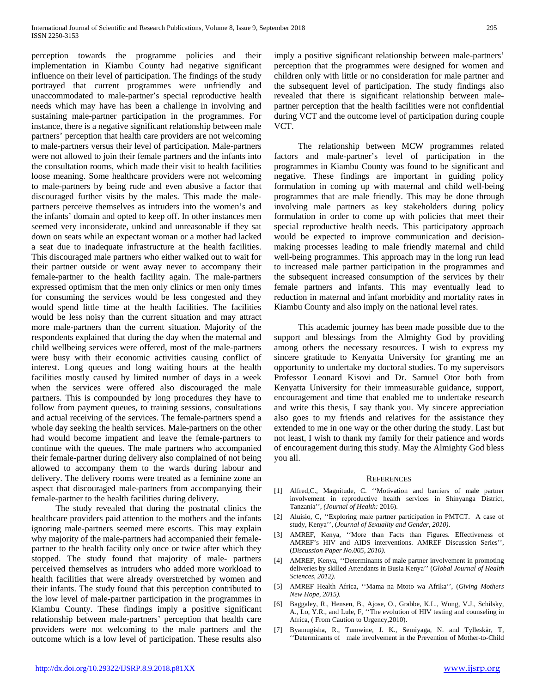perception towards the programme policies and their implementation in Kiambu County had negative significant influence on their level of participation. The findings of the study portrayed that current programmes were unfriendly and unaccommodated to male-partner's special reproductive health needs which may have has been a challenge in involving and sustaining male-partner participation in the programmes. For instance, there is a negative significant relationship between male partners' perception that health care providers are not welcoming to male-partners versus their level of participation. Male-partners were not allowed to join their female partners and the infants into the consultation rooms, which made their visit to health facilities loose meaning. Some healthcare providers were not welcoming to male-partners by being rude and even abusive a factor that discouraged further visits by the males. This made the malepartners perceive themselves as intruders into the women's and the infants' domain and opted to keep off. In other instances men seemed very inconsiderate, unkind and unreasonable if they sat down on seats while an expectant woman or a mother had lacked a seat due to inadequate infrastructure at the health facilities. This discouraged male partners who either walked out to wait for their partner outside or went away never to accompany their female-partner to the health facility again. The male-partners expressed optimism that the men only clinics or men only times for consuming the services would be less congested and they would spend little time at the health facilities. The facilities would be less noisy than the current situation and may attract more male-partners than the current situation. Majority of the respondents explained that during the day when the maternal and child wellbeing services were offered, most of the male-partners were busy with their economic activities causing conflict of interest. Long queues and long waiting hours at the health facilities mostly caused by limited number of days in a week when the services were offered also discouraged the male partners. This is compounded by long procedures they have to follow from payment queues, to training sessions, consultations and actual receiving of the services. The female-partners spend a whole day seeking the health services. Male-partners on the other had would become impatient and leave the female-partners to continue with the queues. The male partners who accompanied their female-partner during delivery also complained of not being allowed to accompany them to the wards during labour and delivery. The delivery rooms were treated as a feminine zone an aspect that discouraged male-partners from accompanying their female-partner to the health facilities during delivery.

 The study revealed that during the postnatal clinics the healthcare providers paid attention to the mothers and the infants ignoring male-partners seemed mere escorts. This may explain why majority of the male-partners had accompanied their femalepartner to the health facility only once or twice after which they stopped. The study found that majority of male- partners perceived themselves as intruders who added more workload to health facilities that were already overstretched by women and their infants. The study found that this perception contributed to the low level of male-partner participation in the programmes in Kiambu County. These findings imply a positive significant relationship between male-partners' perception that health care providers were not welcoming to the male partners and the outcome which is a low level of participation. These results also

imply a positive significant relationship between male-partners' perception that the programmes were designed for women and children only with little or no consideration for male partner and the subsequent level of participation. The study findings also revealed that there is significant relationship between malepartner perception that the health facilities were not confidential during VCT and the outcome level of participation during couple VCT.

 The relationship between MCW programmes related factors and male-partner's level of participation in the programmes in Kiambu County was found to be significant and negative. These findings are important in guiding policy formulation in coming up with maternal and child well-being programmes that are male friendly. This may be done through involving male partners as key stakeholders during policy formulation in order to come up with policies that meet their special reproductive health needs. This participatory approach would be expected to improve communication and decisionmaking processes leading to male friendly maternal and child well-being programmes. This approach may in the long run lead to increased male partner participation in the programmes and the subsequent increased consumption of the services by their female partners and infants. This may eventually lead to reduction in maternal and infant morbidity and mortality rates in Kiambu County and also imply on the national level rates.

 This academic journey has been made possible due to the support and blessings from the Almighty God by providing among others the necessary resources. I wish to express my sincere gratitude to Kenyatta University for granting me an opportunity to undertake my doctoral studies. To my supervisors Professor Leonard Kisovi and Dr. Samuel Otor both from Kenyatta University for their immeasurable guidance, support, encouragement and time that enabled me to undertake research and write this thesis, I say thank you. My sincere appreciation also goes to my friends and relatives for the assistance they extended to me in one way or the other during the study. Last but not least, I wish to thank my family for their patience and words of encouragement during this study. May the Almighty God bless you all.

#### **REFERENCES**

- [1] Alfred,C., Magnitude, C. ''Motivation and barriers of male partner involvement in reproductive health services in Shinyanga District, Tanzania''*, (Journal of Health:* 2016).
- [2] Aluisio, C, ''Exploring male partner participation in PMTCT. A case of study, Kenya'', (*Journal of Sexuality and Gender, 2010)*.
- [3] AMREF, Kenya, ''More than Facts than Figures. Effectiveness of AMREF's HIV and AIDS interventions. AMREF Discussion Series'', (*Discussion Paper No.005, 2010).*
- [4] AMREF, Kenya, ''Determinants of male partner involvement in promoting deliveries by skilled Attendants in Busia Kenya'' (*Global Journal of Health Sciences, 2012)*.
- [5] AMREF Health Africa, ''Mama na Mtoto wa Afrika'', (*Giving Mothers New Hope, 2015).*
- [6] Baggaley, R., Hensen, B., [Ajose, O.](about:blank), [Grabbe, K.L.](http://www.ncbi.nlm.nih.gov/pubmed?term=Grabbe%20KL%5BAuthor%5D&cauthor=true&cauthor_uid=22984309), [Wong, V.J.,](http://www.ncbi.nlm.nih.gov/pubmed?term=Wong%20VJ%5BAuthor%5D&cauthor=true&cauthor_uid=22984309) [Schilsky,](http://www.ncbi.nlm.nih.gov/pubmed?term=Schilsky%20A%5BAuthor%5D&cauthor=true&cauthor_uid=22984309)  [A.,](http://www.ncbi.nlm.nih.gov/pubmed?term=Schilsky%20A%5BAuthor%5D&cauthor=true&cauthor_uid=22984309) [Lo, Y.R.,](http://www.ncbi.nlm.nih.gov/pubmed?term=Lo%20YR%5BAuthor%5D&cauthor=true&cauthor_uid=22984309) and Lule, F, ''The evolution of HIV testing and counseling in Africa, ( From Caution to Urgency,2010).
- [7] Byamugisha, R., Tumwine, J. K., Semiyaga, N. and Tylleskär, T, ''Determinants of male involvement in the Prevention of Mother-to-Child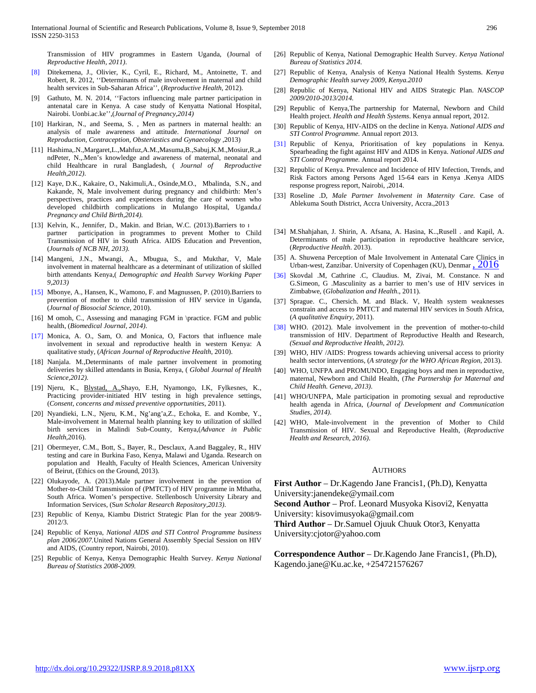Transmission of HIV programmes in Eastern Uganda, (Journal of *Reproductive Health, 2011)*.

- [8] Ditekemena, J., Olivier, K., Cyril, E., Richard, M., Antoinette, T. and Robert, R. 2012, ''Determinants of male involvement in maternal and child health services in Sub-Saharan Africa'', (*Reproductive Health,* 2012).
- [9] Gathuto, M. N. 2014, ''Factors influencing male partner participation in antenatal care in Kenya. A case study of Kenyatta National Hospital, Nairobi. Uonbi.ac.ke'',(*Journal of Pregnancy,2014)*
- [10] Harkiran, N., and Seema, S., Men as partners in maternal health: an analysis of male awareness and attitude. *International Journal on Reproduction, Contraception, Obsteriastics and Gynaecology* ,2013)
- [11] Hashima,.N.,Margaret,L.,Mahfuz,A.M.,Masuma,B.,Sabuj,K.M.,Mosiur,R.,a ndPeter, N.,.Men's knowledge and awareness of maternal, neonatal and child Healthcare in rural Bangladesh, ( *Journal of Reproductive Health,2012)*.
- [12] Kaye, D.K., Kakaire, O., Nakimuli,A., Osinde,M.O., Mbalinda, S.N., and Kakande, N, Male involvement during pregnancy and childbirth: Men's perspectives, practices and experiences during the care of women who developed childbirth complications in Mulango Hospital, Uganda,( *Pregnancy and Child Birth,2014).*
- [13] Kelvin, K., Jennifer, D., Makin. and Brian, W.C. (2013).Barriers to a partner participation in programmes to prevent Mother to Child Transmission of HIV in South Africa. AIDS Education and Prevention, (*Journals of NCB NH, 2013).*
- [14] Mangeni, J.N., Mwangi, A., Mbugua, S., and Mukthar, V, Male involvement in maternal healthcare as a determinant of utilization of skilled birth attendants Kenya,( *Demographic and Health Survey Working Paper 9,2013)*
- [15] Mbonye, A., Hansen, K., Wamono, F. and Magnussen, P. (2010).Barriers to prevention of mother to child transmission of HIV service in Uganda, (*Journal of Biosocial Science*, 2010).
- [16] M omoh, C., Assessing and managing FGM in \practice. FGM and public health, (*Biomedical Journal, 2014)*.
- [17] Monica, A. O., Sam, O. and Monica, O, Factors that influence male involvement in sexual and reproductive health in western Kenya: A qualitative study, (*African Journal of Reproductive Health*, 2010).
- [18] Nanjala. M.,Determinants of male partner involvement in promoting deliveries by skilled attendants in Busia, Kenya, ( *Global Journal of Health Science,2012)*.
- [19] Njeru, K., [Blystad, A.,Shayo, E.H, Nyamongo, I.K, Fylkesnes, K.,](about:blank) Practicing provider-initiated HIV testing in high prevalence settings, (*Consent, concerns and missed preventive opportunities*, 2011).
- [20] Nyandieki, L.N., Njeru, K.M., Ng'ang'a,Z., Echoka, E. and Kombe, Y., Male-involvement in Maternal health planning key to utilization of skilled birth services in Malindi Sub-County, Kenya,(*Advance in Public Health*,2016).
- [21] [Obermeyer, C.M.](http://www.ncbi.nlm.nih.gov/pubmed?term=Obermeyer%20CM%5BAuthor%5D&cauthor=true&cauthor_uid=23343572), [Bott, S.,](http://www.ncbi.nlm.nih.gov/pubmed?term=Bott%20S%5BAuthor%5D&cauthor=true&cauthor_uid=23343572) [Bayer, R.,](http://www.ncbi.nlm.nih.gov/pubmed?term=Bayer%20R%5BAuthor%5D&cauthor=true&cauthor_uid=23343572) [Desclaux,](http://www.ncbi.nlm.nih.gov/pubmed?term=Desclaux%20A%5BAuthor%5D&cauthor=true&cauthor_uid=23343572) A.and [Baggaley, R.,](http://www.ncbi.nlm.nih.gov/pubmed?term=Baggaley%20R%5BAuthor%5D&cauthor=true&cauthor_uid=23343572) HIV testing and care in Burkina Faso, Kenya, Malawi and Uganda. Research on population and Health, Faculty of Health Sciences, American University of Beirut, (Ethics on the Ground, 2013).
- [22] Olukayode, A. (2013).Male partner involvement in the prevention of Mother-to-Child Transmission of (PMTCT) of HIV programme in Mthatha, South Africa. Women's perspective. Stellenbosch University Library and Information Services, (S*un Scholar Research Repository,2013)*.
- [23] Republic of Kenya, Kiambu District Strategic Plan for the year 2008/9- 2012/3.
- [24] Republic of Kenya, *National AIDS and STI Control Programme business plan 2006/2007.*United Nations General Assembly Special Session on HIV and AIDS, (Country report, Nairobi, 2010).
- [25] Republic of Kenya, Kenya Demographic Health Survey. *Kenya National Bureau of Statistics 2008-2009.*
- [26] Republic of Kenya, National Demographic Health Survey. *Kenya National Bureau of Statistics 2014.*
- [27] Republic of Kenya, Analysis of Kenya National Health Systems*. Kenya Demographic Health survey 2009, Kenya.2010*
- [28] Republic of Kenya, National HIV and AIDS Strategic Plan. *NASCOP 2009/2010-2013/2014.*
- [29] Republic of Kenya,The partnership for Maternal, Newborn and Child Health project. *Health and Health Systems*. Kenya annual report, 2012.
- [30] Republic of Kenya, HIV-AIDS on the decline in Kenya. *National AIDS and STI Control Programme.* Annual report 2013.
- [31] Republic of Kenya, Prioritisation of key populations in Kenya. Spearheading the fight against HIV and AIDS in Kenya. *National AIDS and STI Control Programme.* Annual report 2014.
- [32] Republic of Kenya. Prevalence and Incidence of HIV Infection, Trends, and Risk Factors among Persons Aged 15-64 ears in Kenya .Kenya AIDS response progress report, Nairobi, ,2014.
- [33] Roseline .D, *Male Partner Involvement in Maternity Care.* Case of Ablekuma South District, Accra University, Accra.,2013
- [34] M.Shahjahan, J. Shirin, A. Afsana, A. Hasina, K..,Rusell . and Kapil, A. Determinants of male participation in reproductive healthcare service, (*Reproductive Health*. 2013).
- [35] A. Shuwena Perception of Male Involvement in Antenatal Care Clinics in Urban-west, Zanzibar. University of Copenhagen (KU), Denmar  $\frac{2016}{100}$
- [36] Skovdal .M, Cathrine .C, Claudius. M, Zivai, M. Constance. N and G.Simeon, G .Masculinity as a barrier to men's use of HIV services in Zimbabwe, (*Globalization and Health*., 2011).
- [37] Sprague. C., Chersich. M. and Black. V, Health system weaknesses constrain and access to PMTCT and maternal HIV services in South Africa, (*A qualitative Enquiry*, 2011).
- [38] WHO. (2012). Male involvement in the prevention of mother-to-child transmission of HIV. Department of Reproductive Health and Research*, (Sexual and Reproductive Health, 2012).*
- [39] WHO, HIV /AIDS: Progress towards achieving universal access to priority health sector interventions, (*A strategy for the WHO African Region*, 2013).
- [40] WHO, UNFPA and PROMUNDO, Engaging boys and men in reproductive, maternal, Newborn and Child Health, (*The Partnership for Maternal and Child Health. Geneva, 2013)*.
- [41] WHO/UNFPA, Male participation in promoting sexual and reproductive health agenda in Africa, (*Journal of Development and Communication Studies, 2014)*.
- [42] WHO, Male-involvement in the prevention of Mother to Child Transmission of HIV. Sexual and Reproductive Health, (*Reproductive Health and Research, 2016)*.

#### AUTHORS

**First Author** – Dr.Kagendo Jane Francis1, (Ph.D), Kenyatta University:janendeke@ymail.com

**Second Author** – Prof. Leonard Musyoka Kisovi2, Kenyatta University: kisovimusyoka@gmail.com

**Third Author** – Dr.Samuel Ojuuk Chuuk Otor3, Kenyatta University:cjotor@yahoo.com

**Correspondence Author** – Dr.Kagendo Jane Francis1, (Ph.D), Kagendo.jane@Ku.ac.ke, +254721576267